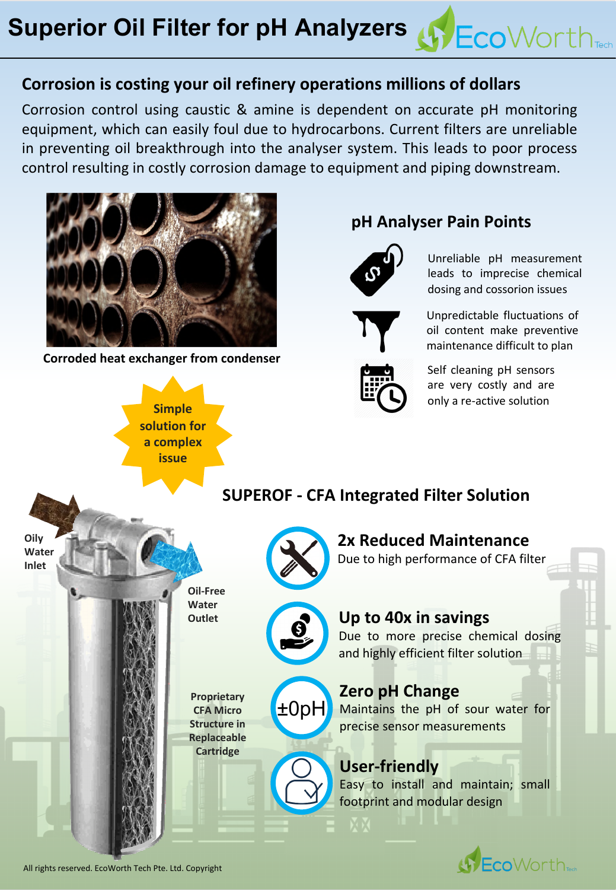## **Corrosion is costing your oil refinery operations millions of dollars**

Corrosion control using caustic & amine is dependent on accurate pH monitoring equipment, which can easily foul due to hydrocarbons. Current filters are unreliable in preventing oil breakthrough into the analyser system. This leads to poor process control resulting in costly corrosion damage to equipment and piping downstream.



**Corroded heat exchanger from condenser**

**pH Analyser Pain Points**



Unreliable pH measurement leads to imprecise chemical dosing and cossorion issues

**Sy Eco** Worth<sub>Tech</sub>

Unpredictable fluctuations of oil content make preventive maintenance difficult to plan



Self cleaning pH sensors are very costly and are only a re-active solution



All rights reserved. EcoWorth Tech Pte. Ltd. Copyright